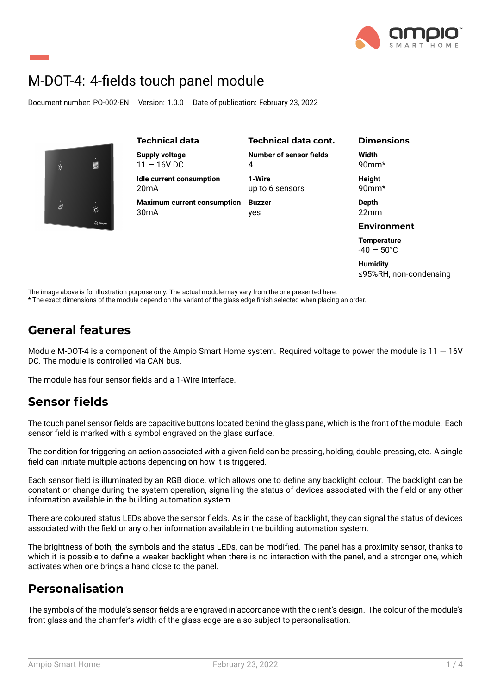

# M-DOT-4: 4-fields touch panel module

Document number: PO-002-EN Version: 1.0.0 Date of publication: February 23, 2022

| $\dot{\hat{\nabla}}$ | U                               |  |
|----------------------|---------------------------------|--|
| .<br>ক               | $\frac{1}{2}$<br>$\omega$ ampig |  |

| <b>Technical data</b>              | <b>Technical data cont.</b> | <b>Dimensions</b>                          |
|------------------------------------|-----------------------------|--------------------------------------------|
| Supply voltage                     | Number of sensor fields     | Width                                      |
| $11 - 16V$ DC                      | 4                           | $90$ mm*                                   |
| Idle current consumption           | 1-Wire                      | Height                                     |
| 20 <sub>m</sub> A                  | up to 6 sensors             | $90$ mm*                                   |
| <b>Maximum current consumption</b> | <b>Buzzer</b>               | Depth                                      |
| 30 <sub>m</sub> A                  | yes                         | 22 <sub>mm</sub>                           |
|                                    |                             | <b>Environment</b>                         |
|                                    |                             | <b>Temperature</b><br>$-40 - 50^{\circ}$ C |

**Humidity** ≤95%RH, non-condensing

The image above is for illustration purpose only. The actual module may vary from the one presented here.

\* The exact dimensions of the module depend on the variant of the glass edge finish selected when placing an order.

### **General features**

Module M-DOT-4 is a component of the Ampio Smart Home system. Required voltage to power the module is  $11 - 16V$ DC. The module is controlled via CAN bus.

The module has four sensor fields and a 1-Wire interface.

### **Sensor fields**

The touch panel sensor fields are capacitive buttons located behind the glass pane, which is the front of the module. Each sensor field is marked with a symbol engraved on the glass surface.

The condition for triggering an action associated with a given field can be pressing, holding, double-pressing, etc. A single field can initiate multiple actions depending on how it is triggered.

Each sensor field is illuminated by an RGB diode, which allows one to define any backlight colour. The backlight can be constant or change during the system operation, signalling the status of devices associated with the field or any other information available in the building automation system.

There are coloured status LEDs above the sensor fields. As in the case of backlight, they can signal the status of devices associated with the field or any other information available in the building automation system.

The brightness of both, the symbols and the status LEDs, can be modified. The panel has a proximity sensor, thanks to which it is possible to define a weaker backlight when there is no interaction with the panel, and a stronger one, which activates when one brings a hand close to the panel.

### **Personalisation**

The symbols of the module's sensor fields are engraved in accordance with the client's design. The colour of the module's front glass and the chamfer's width of the glass edge are also subject to personalisation.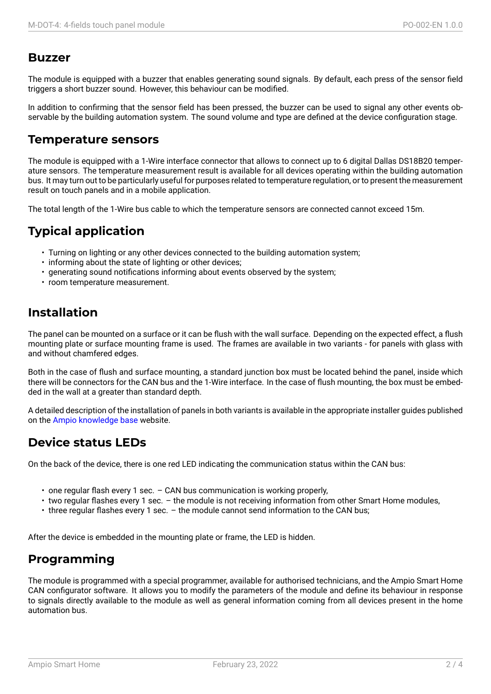#### **Buzzer**

The module is equipped with a buzzer that enables generating sound signals. By default, each press of the sensor field triggers a short buzzer sound. However, this behaviour can be modified.

In addition to confirming that the sensor field has been pressed, the buzzer can be used to signal any other events observable by the building automation system. The sound volume and type are defined at the device configuration stage.

#### **Temperature sensors**

The module is equipped with a 1-Wire interface connector that allows to connect up to 6 digital Dallas DS18B20 temperature sensors. The temperature measurement result is available for all devices operating within the building automation bus. It may turn out to be particularly useful for purposes related to temperature regulation, or to present the measurement result on touch panels and in a mobile application.

The total length of the 1-Wire bus cable to which the temperature sensors are connected cannot exceed 15m.

# **Typical application**

- Turning on lighting or any other devices connected to the building automation system;
- informing about the state of lighting or other devices;
- generating sound notifications informing about events observed by the system;
- room temperature measurement.

## **Installation**

The panel can be mounted on a surface or it can be flush with the wall surface. Depending on the expected effect, a flush mounting plate or surface mounting frame is used. The frames are available in two variants - for panels with glass with and without chamfered edges.

Both in the case of flush and surface mounting, a standard junction box must be located behind the panel, inside which there will be connectors for the CAN bus and the 1-Wire interface. In the case of flush mounting, the box must be embedded in the wall at a greater than standard depth.

A detailed description of the installation of panels in both variants is available in the appropriate installer guides published on the Ampio knowledge base website.

### **Device status LEDs**

On the [back of the device, ther](https://help.ampio.com)e is one red LED indicating the communication status within the CAN bus:

- one regular flash every 1 sec. CAN bus communication is working properly,
- two regular flashes every 1 sec. the module is not receiving information from other Smart Home modules,
- three regular flashes every 1 sec. the module cannot send information to the CAN bus;

After the device is embedded in the mounting plate or frame, the LED is hidden.

## **Programming**

The module is programmed with a special programmer, available for authorised technicians, and the Ampio Smart Home CAN configurator software. It allows you to modify the parameters of the module and define its behaviour in response to signals directly available to the module as well as general information coming from all devices present in the home automation bus.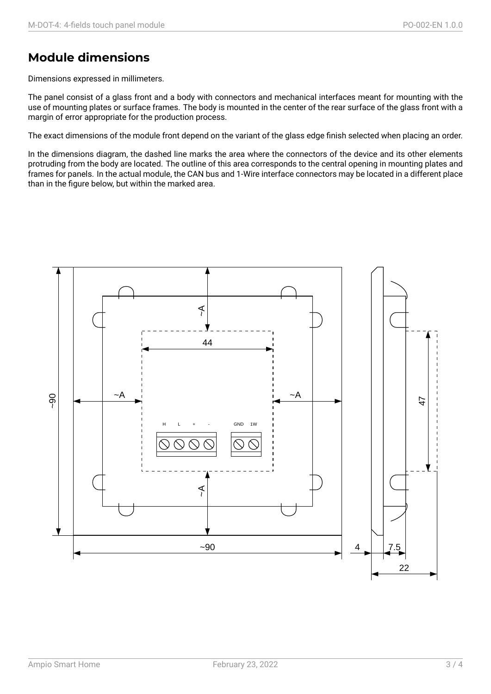## **Module dimensions**

Dimensions expressed in millimeters.

The panel consist of a glass front and a body with connectors and mechanical interfaces meant for mounting with the use of mounting plates or surface frames. The body is mounted in the center of the rear surface of the glass front with a margin of error appropriate for the production process.

The exact dimensions of the module front depend on the variant of the glass edge finish selected when placing an order.

In the dimensions diagram, the dashed line marks the area where the connectors of the device and its other elements protruding from the body are located. The outline of this area corresponds to the central opening in mounting plates and frames for panels. In the actual module, the CAN bus and 1-Wire interface connectors may be located in a different place than in the figure below, but within the marked area.